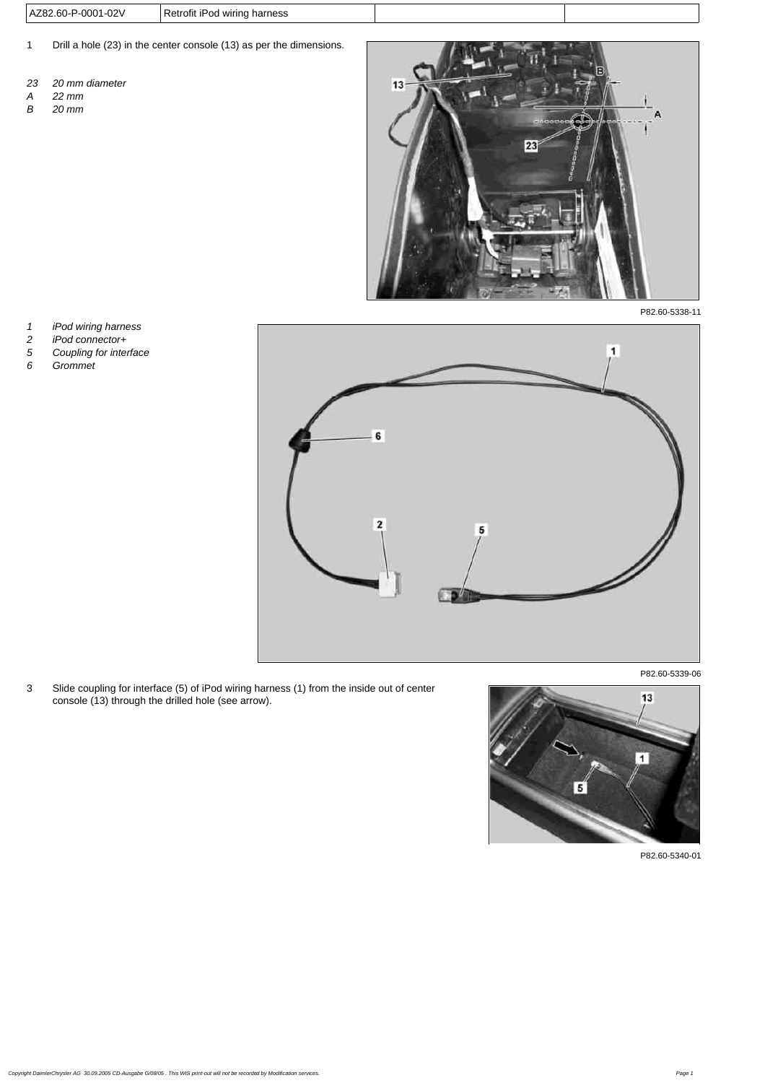| AZ82.60-P-0001-02V | Retrofit iPod wiring harness |
|--------------------|------------------------------|
|--------------------|------------------------------|

- 1 Drill a hole (23) in the center console (13) as per the dimensions.
- *23 20 mm diameter*
- *A 22 mm*
- *B 20 mm*



P82.60-5338-11

- 
- *2 iPod connector+*
- *1 iPod wiring harness 5 Coupling for interface*
- *6 Grommet*



P82.60-5339-06

3 Slide coupling for interface (5) of iPod wiring harness (1) from the inside out of center console (13) through the drilled hole (see arrow).



P82.60-5340-01